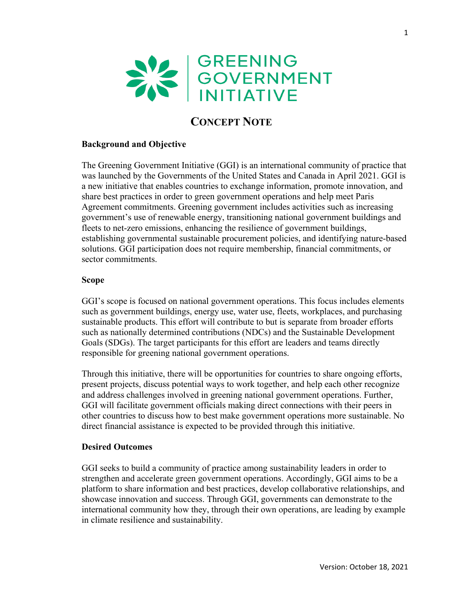

# **CONCEPT NOTE**

## **Background and Objective**

The Greening Government Initiative (GGI) is an international community of practice that was launched by the Governments of the United States and Canada in April 2021. GGI is a new initiative that enables countries to exchange information, promote innovation, and share best practices in order to green government operations and help meet Paris Agreement commitments. Greening government includes activities such as increasing government's use of renewable energy, transitioning national government buildings and fleets to net-zero emissions, enhancing the resilience of government buildings, establishing governmental sustainable procurement policies, and identifying nature-based solutions. GGI participation does not require membership, financial commitments, or sector commitments.

#### **Scope**

GGI's scope is focused on national government operations. This focus includes elements such as government buildings, energy use, water use, fleets, workplaces, and purchasing sustainable products. This effort will contribute to but is separate from broader efforts such as nationally determined contributions (NDCs) and the Sustainable Development Goals (SDGs). The target participants for this effort are leaders and teams directly responsible for greening national government operations.

Through this initiative, there will be opportunities for countries to share ongoing efforts, present projects, discuss potential ways to work together, and help each other recognize and address challenges involved in greening national government operations. Further, GGI will facilitate government officials making direct connections with their peers in other countries to discuss how to best make government operations more sustainable. No direct financial assistance is expected to be provided through this initiative.

#### **Desired Outcomes**

GGI seeks to build a community of practice among sustainability leaders in order to strengthen and accelerate green government operations. Accordingly, GGI aims to be a platform to share information and best practices, develop collaborative relationships, and showcase innovation and success. Through GGI, governments can demonstrate to the international community how they, through their own operations, are leading by example in climate resilience and sustainability.